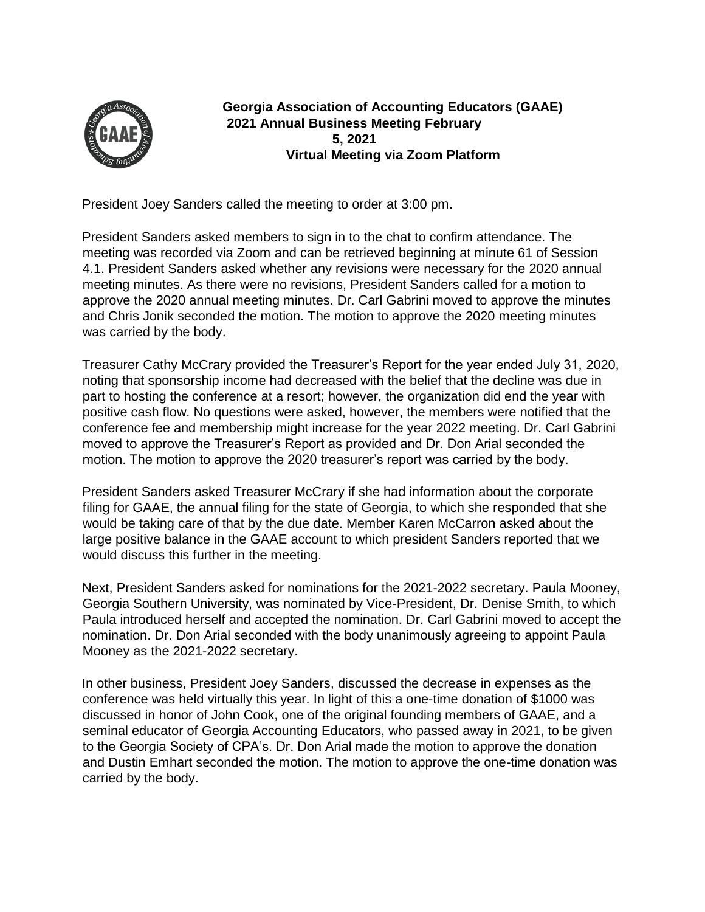

**Georgia Association of Accounting Educators (GAAE) 2021 Annual Business Meeting February 5, 2021 Virtual Meeting via Zoom Platform** 

President Joey Sanders called the meeting to order at 3:00 pm.

President Sanders asked members to sign in to the chat to confirm attendance. The meeting was recorded via Zoom and can be retrieved beginning at minute 61 of Session 4.1. President Sanders asked whether any revisions were necessary for the 2020 annual meeting minutes. As there were no revisions, President Sanders called for a motion to approve the 2020 annual meeting minutes. Dr. Carl Gabrini moved to approve the minutes and Chris Jonik seconded the motion. The motion to approve the 2020 meeting minutes was carried by the body.

Treasurer Cathy McCrary provided the Treasurer's Report for the year ended July 31, 2020, noting that sponsorship income had decreased with the belief that the decline was due in part to hosting the conference at a resort; however, the organization did end the year with positive cash flow. No questions were asked, however, the members were notified that the conference fee and membership might increase for the year 2022 meeting. Dr. Carl Gabrini moved to approve the Treasurer's Report as provided and Dr. Don Arial seconded the motion. The motion to approve the 2020 treasurer's report was carried by the body.

President Sanders asked Treasurer McCrary if she had information about the corporate filing for GAAE, the annual filing for the state of Georgia, to which she responded that she would be taking care of that by the due date. Member Karen McCarron asked about the large positive balance in the GAAE account to which president Sanders reported that we would discuss this further in the meeting.

Next, President Sanders asked for nominations for the 2021-2022 secretary. Paula Mooney, Georgia Southern University, was nominated by Vice-President, Dr. Denise Smith, to which Paula introduced herself and accepted the nomination. Dr. Carl Gabrini moved to accept the nomination. Dr. Don Arial seconded with the body unanimously agreeing to appoint Paula Mooney as the 2021-2022 secretary.

In other business, President Joey Sanders, discussed the decrease in expenses as the conference was held virtually this year. In light of this a one-time donation of \$1000 was discussed in honor of John Cook, one of the original founding members of GAAE, and a seminal educator of Georgia Accounting Educators, who passed away in 2021, to be given to the Georgia Society of CPA's. Dr. Don Arial made the motion to approve the donation and Dustin Emhart seconded the motion. The motion to approve the one-time donation was carried by the body.